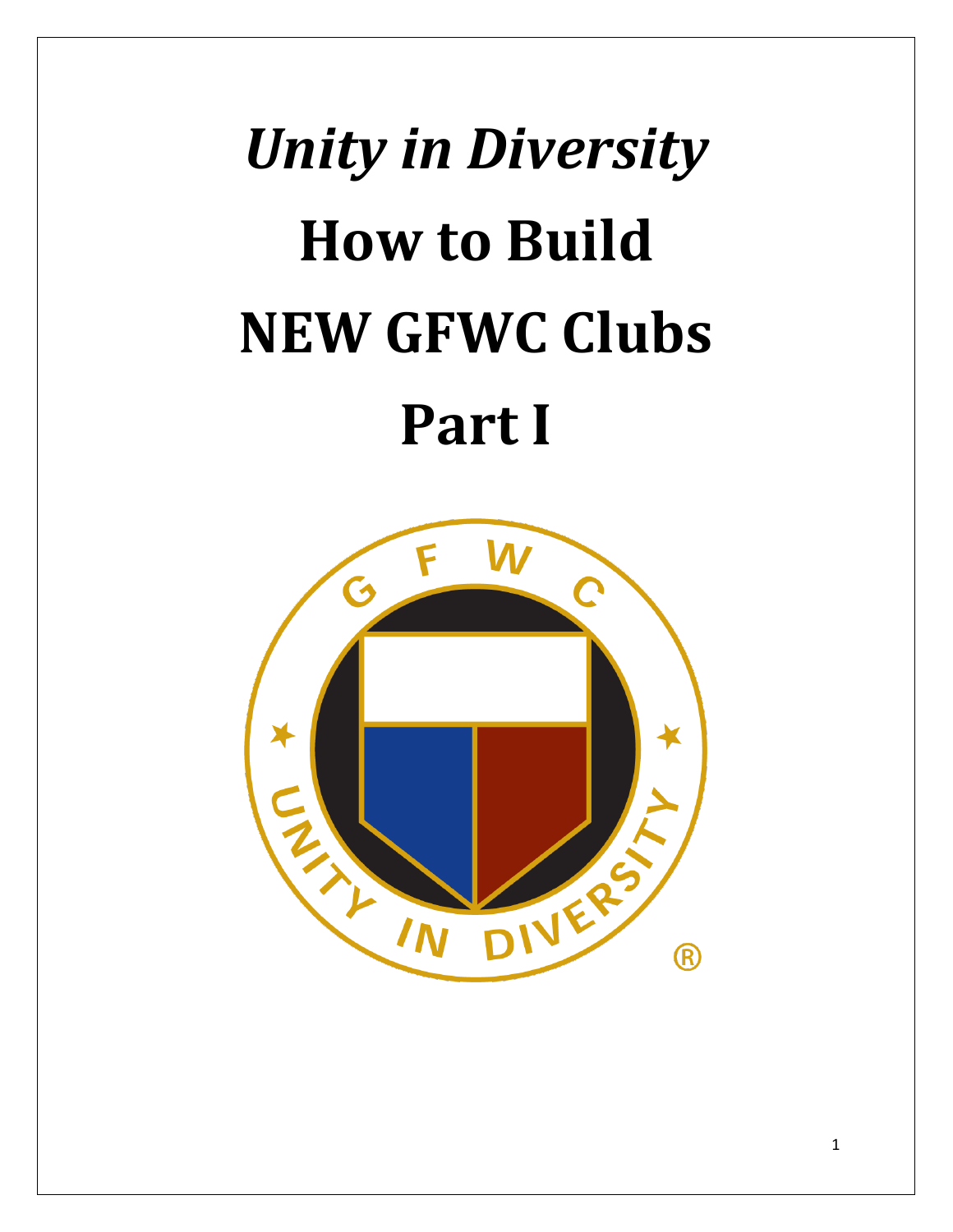# *Unity in Diversity* **How to Build NEW GFWC Clubs Part I**

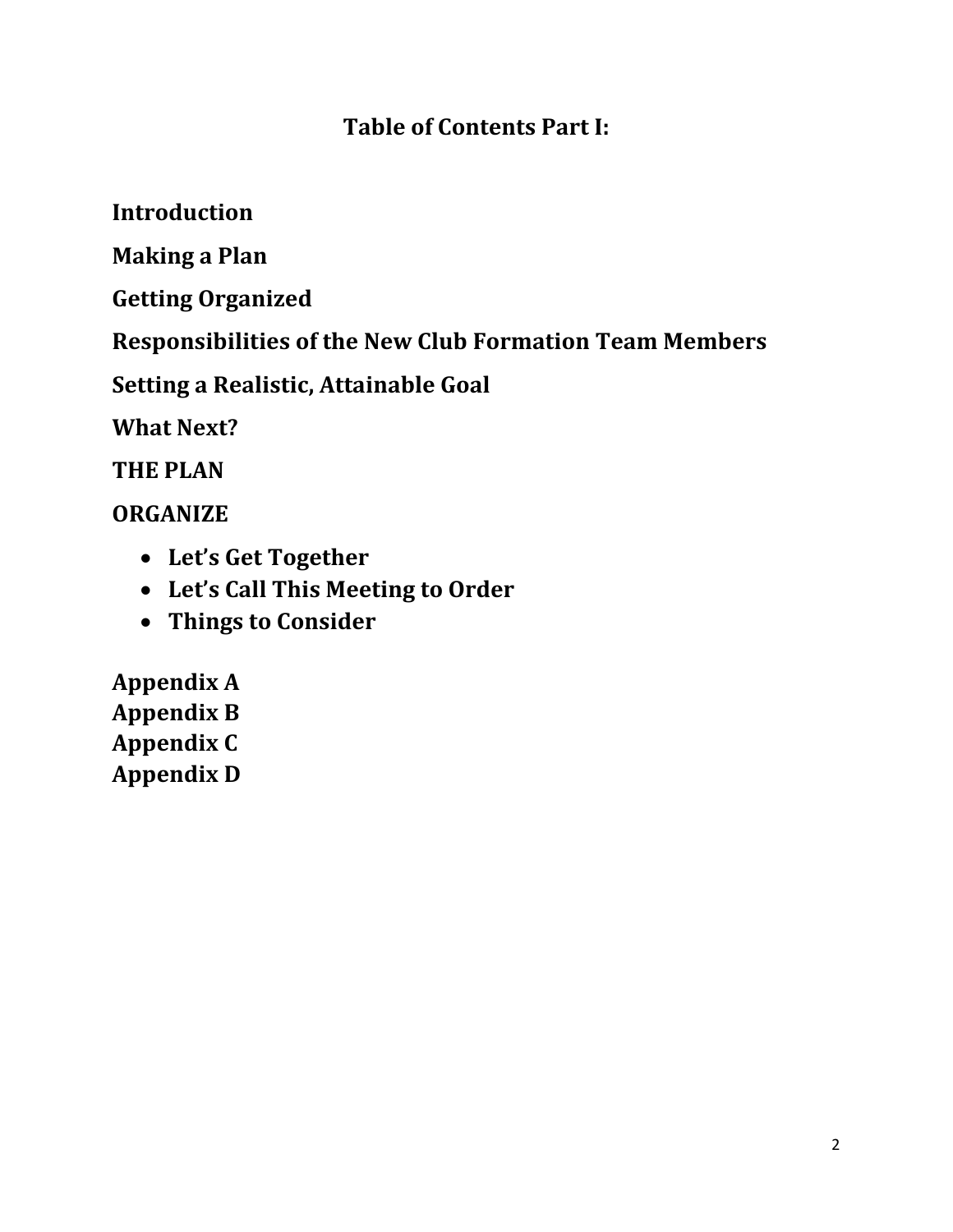#### **Table of Contents Part I:**

**Introduction**

**Making a Plan**

**Getting Organized**

**Responsibilities of the New Club Formation Team Members**

**Setting a Realistic, Attainable Goal**

**What Next?**

**THE PLAN**

**ORGANIZE** 

- **Let's Get Together**
- **Let's Call This Meeting to Order**
- **Things to Consider**

**Appendix A Appendix B Appendix C Appendix D**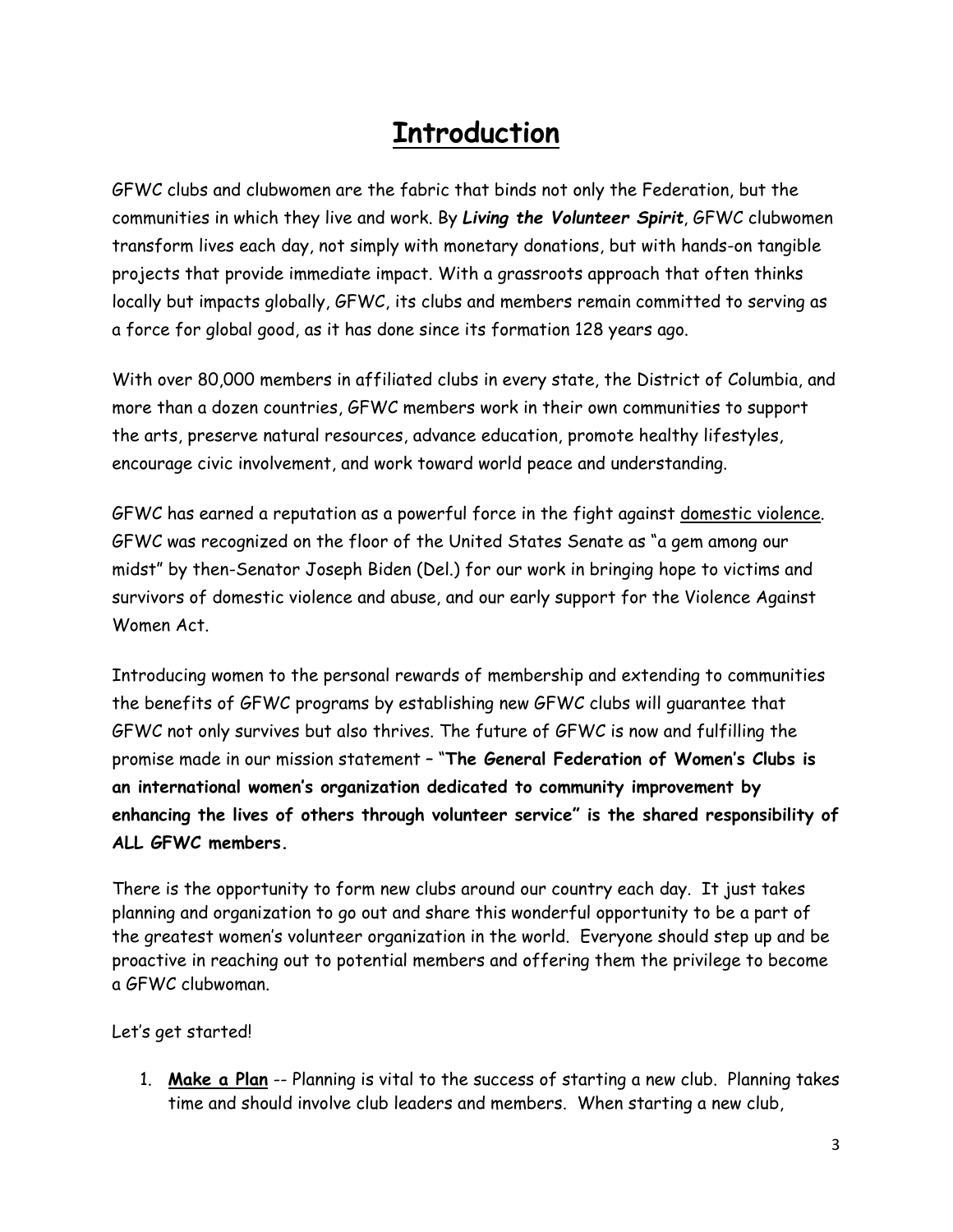## **Introduction**

GFWC clubs and clubwomen are the fabric that binds not only the Federation, but the communities in which they live and work. By *Living the Volunteer Spirit*, GFWC clubwomen transform lives each day, not simply with monetary donations, but with hands-on tangible projects that provide immediate impact. With a grassroots approach that often thinks locally but impacts globally, GFWC, its clubs and members remain committed to serving as a force for global good, as it has done since its formation 128 years ago.

With over 80,000 members in affiliated clubs in every state, the District of Columbia, and more than a dozen countries, GFWC members work in their own communities to support the arts, preserve natural resources, advance education, promote healthy lifestyles, encourage civic involvement, and work toward world peace and understanding.

GFWC has earned a reputation as a powerful force in the fight against [domestic violence.](http://www.gfwc.org/support-gfwc/gfwc-signature-project-fund/) GFWC was recognized on the floor of the United States Senate as "a gem among our midst" by then-Senator Joseph Biden (Del.) for our work in bringing hope to victims and survivors of domestic violence and abuse, and our early support for the Violence Against Women Act.

Introducing women to the personal rewards of membership and extending to communities the benefits of GFWC programs by establishing new GFWC clubs will guarantee that GFWC not only survives but also thrives. The future of GFWC is now and fulfilling the promise made in our mission statement – "**The General Federation of Women's Clubs is an international women's organization dedicated to community improvement by enhancing the lives of others through volunteer service" is the shared responsibility of ALL GFWC members.**

There is the opportunity to form new clubs around our country each day. It just takes planning and organization to go out and share this wonderful opportunity to be a part of the greatest women's volunteer organization in the world. Everyone should step up and be proactive in reaching out to potential members and offering them the privilege to become a GFWC clubwoman.

Let's get started!

1. **Make a Plan** -- Planning is vital to the success of starting a new club. Planning takes time and should involve club leaders and members. When starting a new club,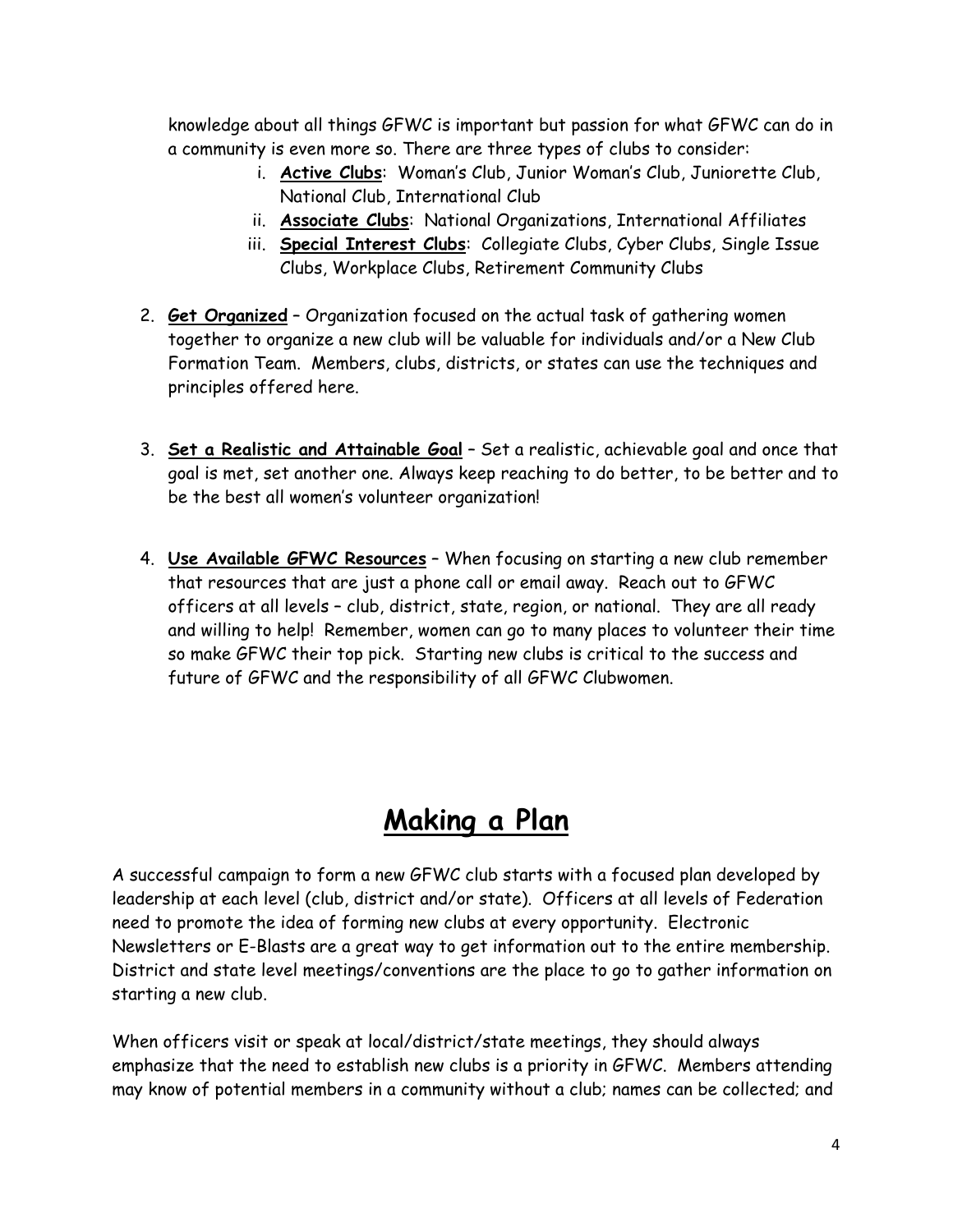knowledge about all things GFWC is important but passion for what GFWC can do in a community is even more so. There are three types of clubs to consider:

- i. **Active Clubs**: Woman's Club, Junior Woman's Club, Juniorette Club, National Club, International Club
- ii. **Associate Clubs**: National Organizations, International Affiliates
- iii. **Special Interest Clubs**: Collegiate Clubs, Cyber Clubs, Single Issue Clubs, Workplace Clubs, Retirement Community Clubs
- 2. **Get Organized** Organization focused on the actual task of gathering women together to organize a new club will be valuable for individuals and/or a New Club Formation Team. Members, clubs, districts, or states can use the techniques and principles offered here.
- 3. **Set a Realistic and Attainable Goal** Set a realistic, achievable goal and once that goal is met, set another one. Always keep reaching to do better, to be better and to be the best all women's volunteer organization!
- 4. **Use Available GFWC Resources** When focusing on starting a new club remember that resources that are just a phone call or email away. Reach out to GFWC officers at all levels – club, district, state, region, or national. They are all ready and willing to help! Remember, women can go to many places to volunteer their time so make GFWC their top pick. Starting new clubs is critical to the success and future of GFWC and the responsibility of all GFWC Clubwomen.

## **Making a Plan**

A successful campaign to form a new GFWC club starts with a focused plan developed by leadership at each level (club, district and/or state). Officers at all levels of Federation need to promote the idea of forming new clubs at every opportunity. Electronic Newsletters or E-Blasts are a great way to get information out to the entire membership. District and state level meetings/conventions are the place to go to gather information on starting a new club.

When officers visit or speak at local/district/state meetings, they should always emphasize that the need to establish new clubs is a priority in GFWC. Members attending may know of potential members in a community without a club; names can be collected; and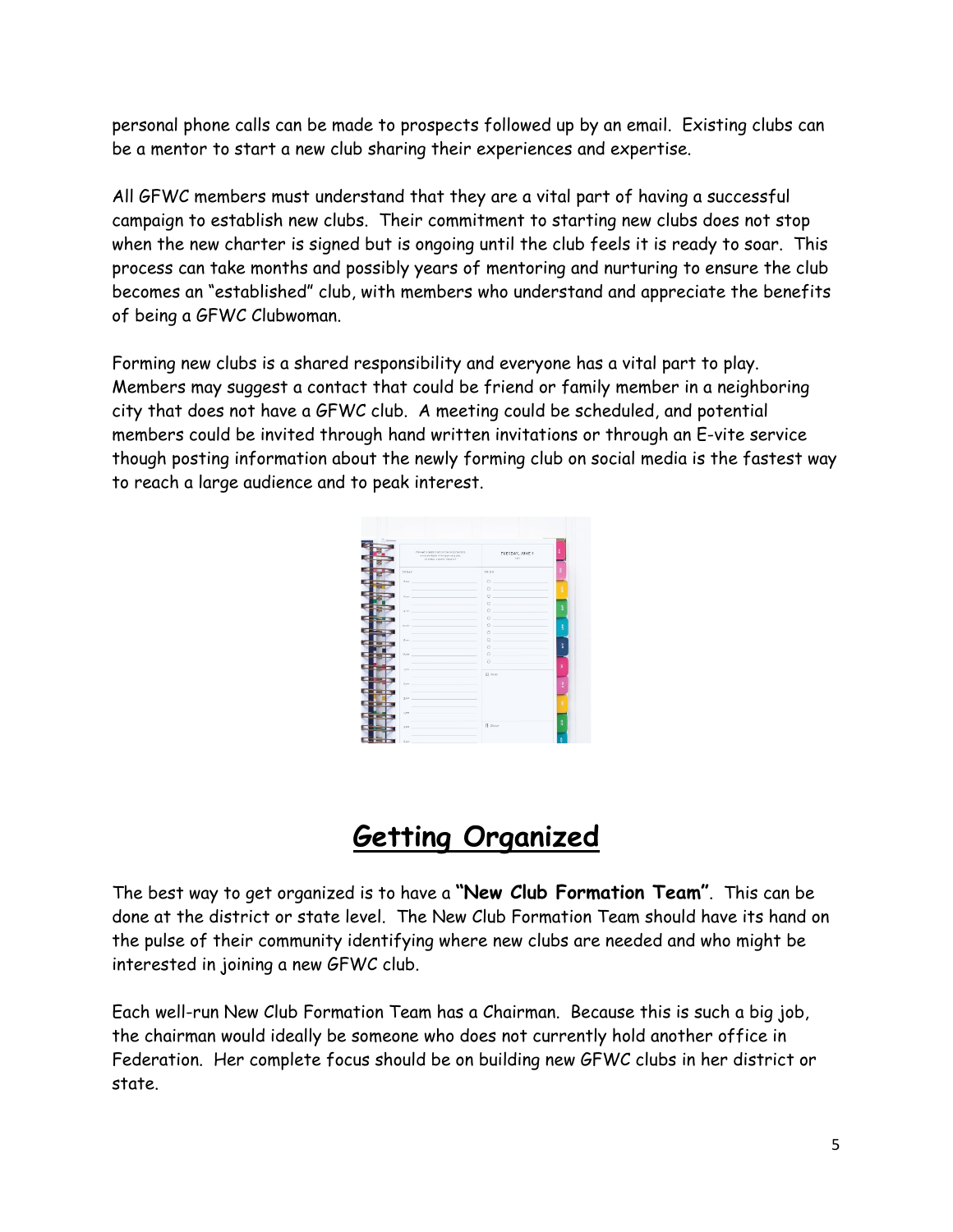personal phone calls can be made to prospects followed up by an email. Existing clubs can be a mentor to start a new club sharing their experiences and expertise.

All GFWC members must understand that they are a vital part of having a successful campaign to establish new clubs. Their commitment to starting new clubs does not stop when the new charter is signed but is ongoing until the club feels it is ready to soar. This process can take months and possibly years of mentoring and nurturing to ensure the club becomes an "established" club, with members who understand and appreciate the benefits of being a GFWC Clubwoman.

Forming new clubs is a shared responsibility and everyone has a vital part to play. Members may suggest a contact that could be friend or family member in a neighboring city that does not have a GFWC club. A meeting could be scheduled, and potential members could be invited through hand written invitations or through an E-vite service though posting information about the newly forming club on social media is the fastest way to reach a large audience and to peak interest.

| CONTRAL ENGINE PRAISER                                                               | TUESDAY, JUNE 9<br>and.                                |
|--------------------------------------------------------------------------------------|--------------------------------------------------------|
| TOBAY                                                                                | re no                                                  |
| 7.4%                                                                                 | <b>Contract Contract</b><br>$\circ$                    |
|                                                                                      | O                                                      |
| the control of the control of the<br>$Y$ and $-$                                     | $\circ$                                                |
|                                                                                      | ö                                                      |
| party and the company of the company of the company of the company of the company of | $\circ$                                                |
|                                                                                      | $\Omega$                                               |
| at on                                                                                | $\circ$                                                |
|                                                                                      | <u> 1989 - Andrea State Barbara, amerikan per</u><br>Ō |
| U.sec.                                                                               | ö                                                      |
| _______                                                                              | $\circ$                                                |
| 37 (ex.)                                                                             | $\circ$<br>ó                                           |
|                                                                                      |                                                        |
| $109 - 1$                                                                            | <b>III</b> Natur                                       |
| 1/2                                                                                  |                                                        |
|                                                                                      |                                                        |
| 325                                                                                  |                                                        |
|                                                                                      |                                                        |
| 4.214                                                                                |                                                        |
|                                                                                      |                                                        |
| $9.23$ .                                                                             | Fl. Sitter                                             |

## **Getting Organized**

The best way to get organized is to have a **"New Club Formation Team"**. This can be done at the district or state level. The New Club Formation Team should have its hand on the pulse of their community identifying where new clubs are needed and who might be interested in joining a new GFWC club.

Each well-run New Club Formation Team has a Chairman. Because this is such a big job, the chairman would ideally be someone who does not currently hold another office in Federation. Her complete focus should be on building new GFWC clubs in her district or state.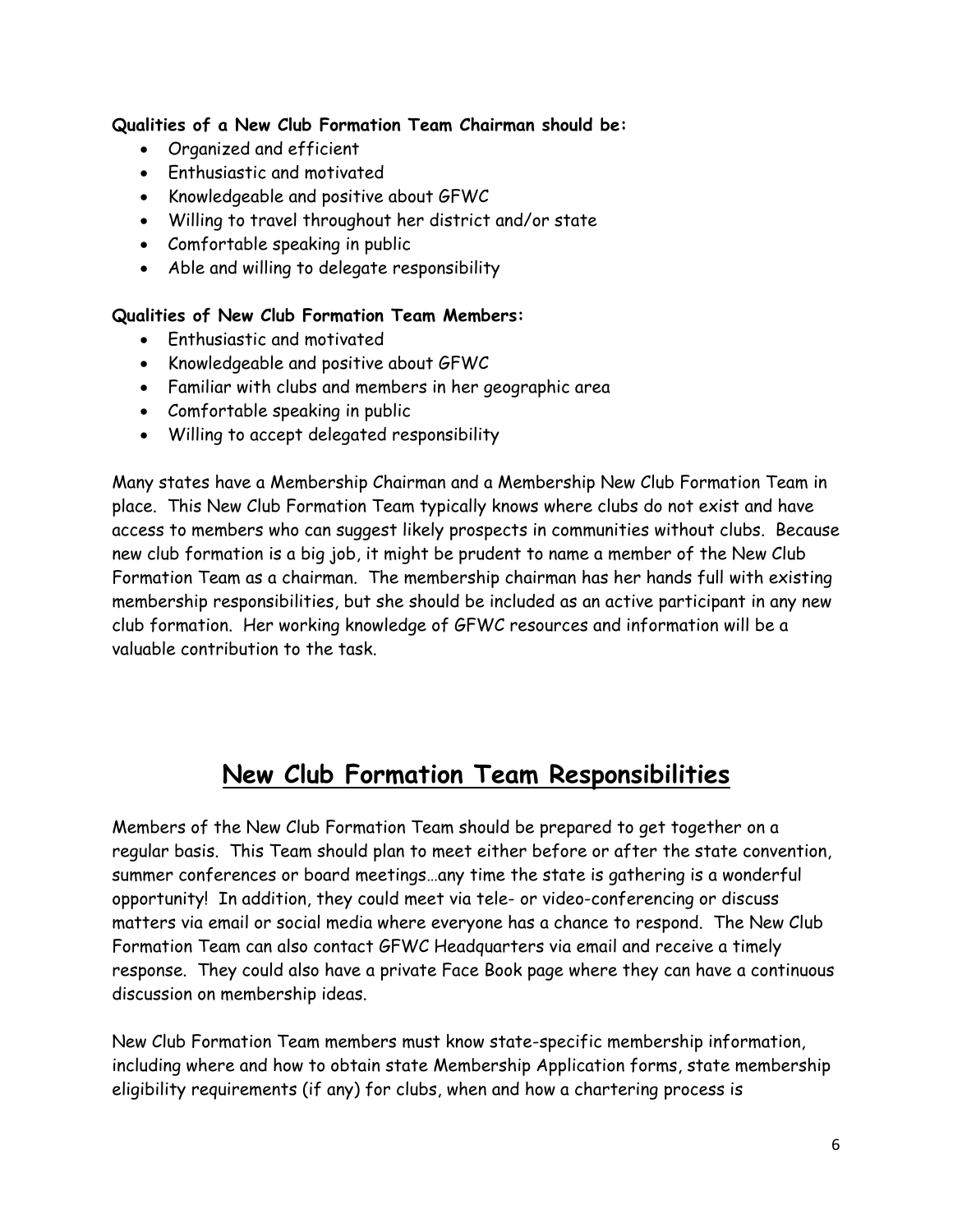#### **Qualities of a New Club Formation Team Chairman should be:**

- Organized and efficient
- Enthusiastic and motivated
- Knowledgeable and positive about GFWC
- Willing to travel throughout her district and/or state
- Comfortable speaking in public
- Able and willing to delegate responsibility

#### **Qualities of New Club Formation Team Members:**

- Enthusiastic and motivated
- Knowledgeable and positive about GFWC
- Familiar with clubs and members in her geographic area
- Comfortable speaking in public
- Willing to accept delegated responsibility

Many states have a Membership Chairman and a Membership New Club Formation Team in place. This New Club Formation Team typically knows where clubs do not exist and have access to members who can suggest likely prospects in communities without clubs. Because new club formation is a big job, it might be prudent to name a member of the New Club Formation Team as a chairman. The membership chairman has her hands full with existing membership responsibilities, but she should be included as an active participant in any new club formation. Her working knowledge of GFWC resources and information will be a valuable contribution to the task.

#### **New Club Formation Team Responsibilities**

Members of the New Club Formation Team should be prepared to get together on a regular basis. This Team should plan to meet either before or after the state convention, summer conferences or board meetings…any time the state is gathering is a wonderful opportunity! In addition, they could meet via tele- or video-conferencing or discuss matters via email or social media where everyone has a chance to respond. The New Club Formation Team can also contact GFWC Headquarters via email and receive a timely response. They could also have a private Face Book page where they can have a continuous discussion on membership ideas.

New Club Formation Team members must know state-specific membership information, including where and how to obtain state Membership Application forms, state membership eligibility requirements (if any) for clubs, when and how a chartering process is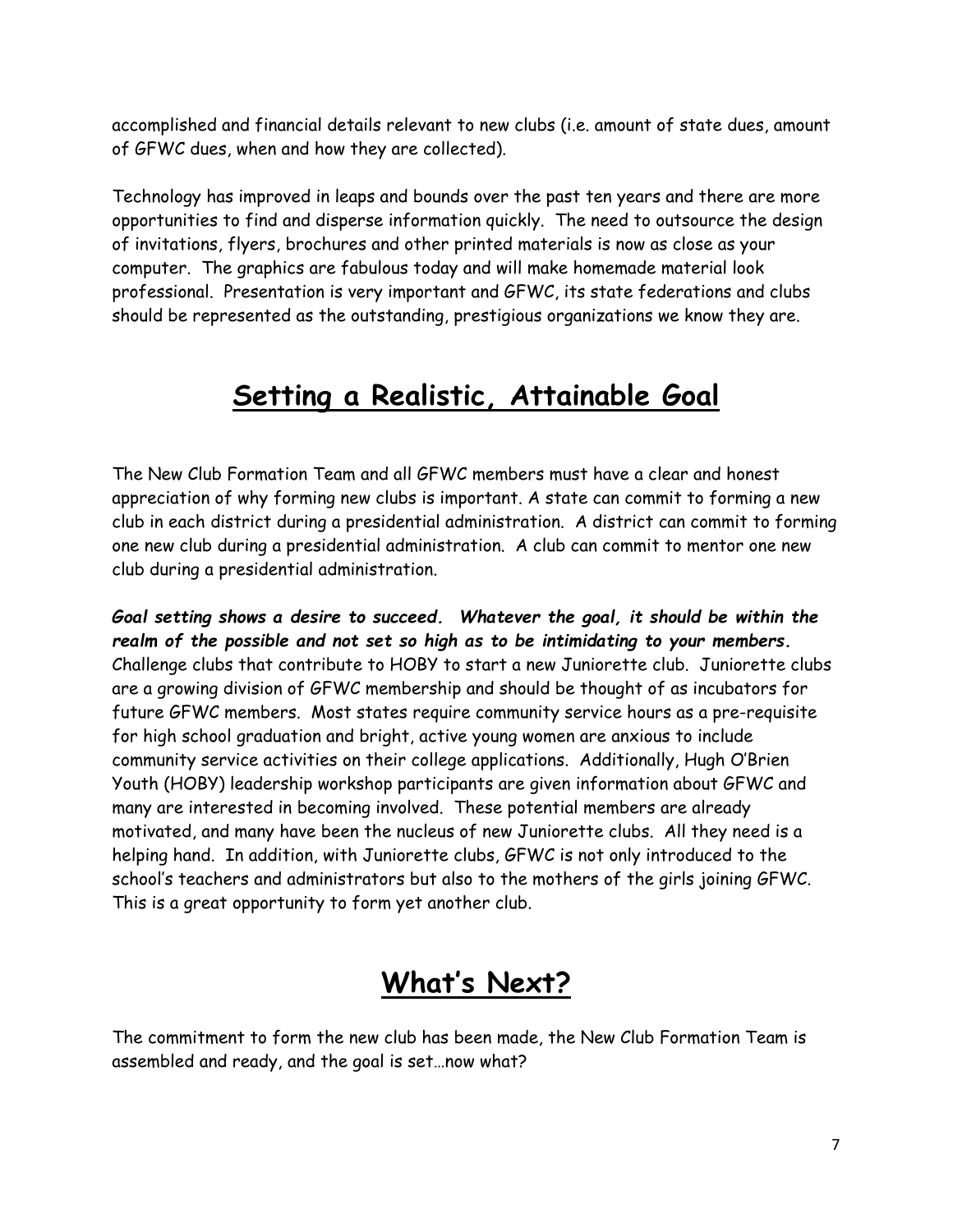accomplished and financial details relevant to new clubs (i.e. amount of state dues, amount of GFWC dues, when and how they are collected).

Technology has improved in leaps and bounds over the past ten years and there are more opportunities to find and disperse information quickly. The need to outsource the design of invitations, flyers, brochures and other printed materials is now as close as your computer. The graphics are fabulous today and will make homemade material look professional. Presentation is very important and GFWC, its state federations and clubs should be represented as the outstanding, prestigious organizations we know they are.

### **Setting a Realistic, Attainable Goal**

The New Club Formation Team and all GFWC members must have a clear and honest appreciation of why forming new clubs is important. A state can commit to forming a new club in each district during a presidential administration. A district can commit to forming one new club during a presidential administration. A club can commit to mentor one new club during a presidential administration.

*Goal setting shows a desire to succeed. Whatever the goal, it should be within the realm of the possible and not set so high as to be intimidating to your members.* Challenge clubs that contribute to HOBY to start a new Juniorette club. Juniorette clubs are a growing division of GFWC membership and should be thought of as incubators for future GFWC members. Most states require community service hours as a pre-requisite for high school graduation and bright, active young women are anxious to include community service activities on their college applications. Additionally, Hugh O'Brien Youth (HOBY) leadership workshop participants are given information about GFWC and many are interested in becoming involved. These potential members are already motivated, and many have been the nucleus of new Juniorette clubs. All they need is a helping hand. In addition, with Juniorette clubs, GFWC is not only introduced to the school's teachers and administrators but also to the mothers of the girls joining GFWC. This is a great opportunity to form yet another club.

## **What's Next?**

The commitment to form the new club has been made, the New Club Formation Team is assembled and ready, and the goal is set…now what?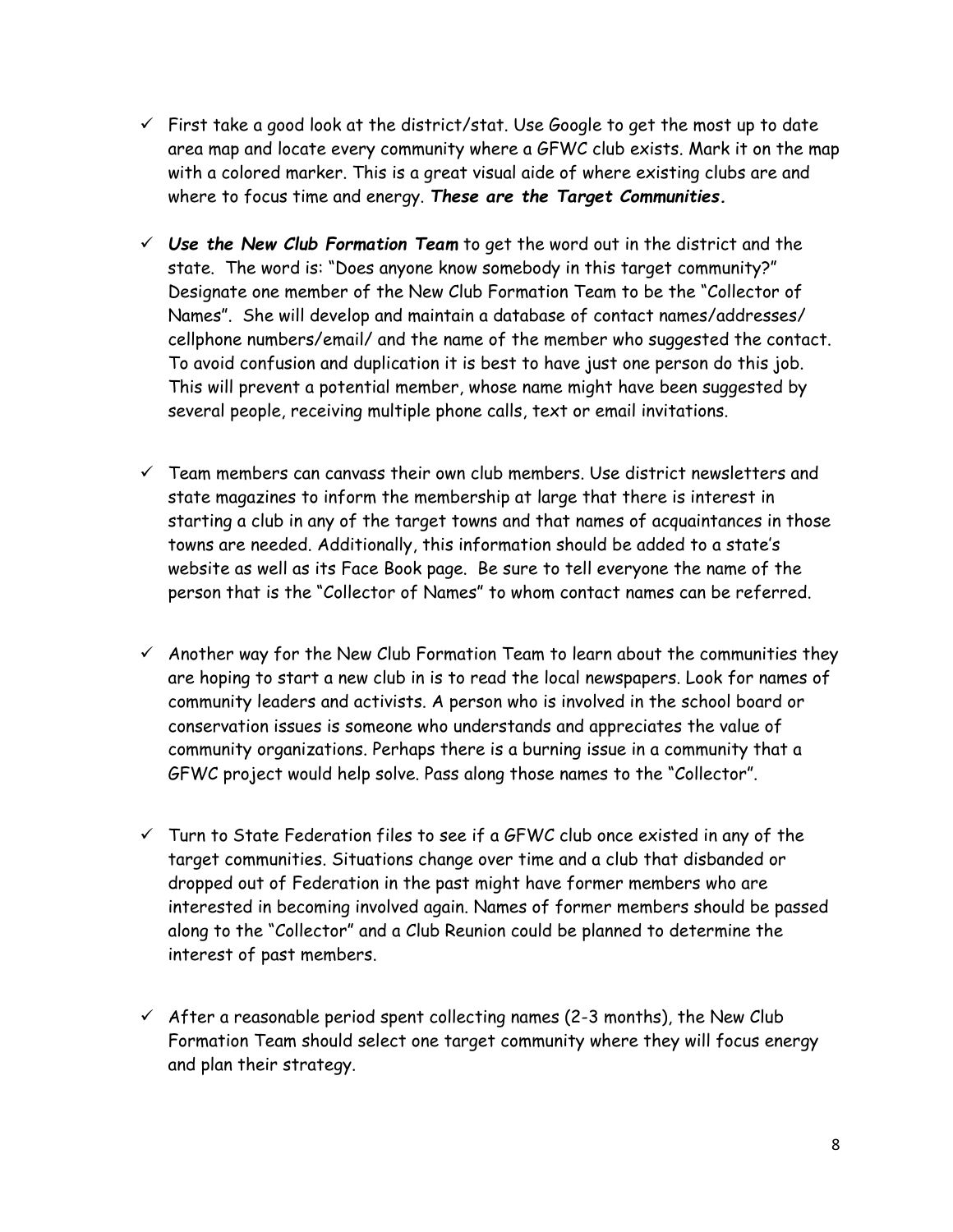- $\checkmark$  First take a good look at the district/stat. Use Google to get the most up to date area map and locate every community where a GFWC club exists. Mark it on the map with a colored marker. This is a great visual aide of where existing clubs are and where to focus time and energy. *These are the Target Communities.*
- *Use the New Club Formation Team* to get the word out in the district and the state. The word is: "Does anyone know somebody in this target community?" Designate one member of the New Club Formation Team to be the "Collector of Names". She will develop and maintain a database of contact names/addresses/ cellphone numbers/email/ and the name of the member who suggested the contact. To avoid confusion and duplication it is best to have just one person do this job. This will prevent a potential member, whose name might have been suggested by several people, receiving multiple phone calls, text or email invitations.
- $\checkmark$  Team members can canvass their own club members. Use district newsletters and state magazines to inform the membership at large that there is interest in starting a club in any of the target towns and that names of acquaintances in those towns are needed. Additionally, this information should be added to a state's website as well as its Face Book page. Be sure to tell everyone the name of the person that is the "Collector of Names" to whom contact names can be referred.
- $\checkmark$  Another way for the New Club Formation Team to learn about the communities they are hoping to start a new club in is to read the local newspapers. Look for names of community leaders and activists. A person who is involved in the school board or conservation issues is someone who understands and appreciates the value of community organizations. Perhaps there is a burning issue in a community that a GFWC project would help solve. Pass along those names to the "Collector".
- $\checkmark$  Turn to State Federation files to see if a GFWC club once existed in any of the target communities. Situations change over time and a club that disbanded or dropped out of Federation in the past might have former members who are interested in becoming involved again. Names of former members should be passed along to the "Collector" and a Club Reunion could be planned to determine the interest of past members.
- $\checkmark$  After a reasonable period spent collecting names (2-3 months), the New Club Formation Team should select one target community where they will focus energy and plan their strategy.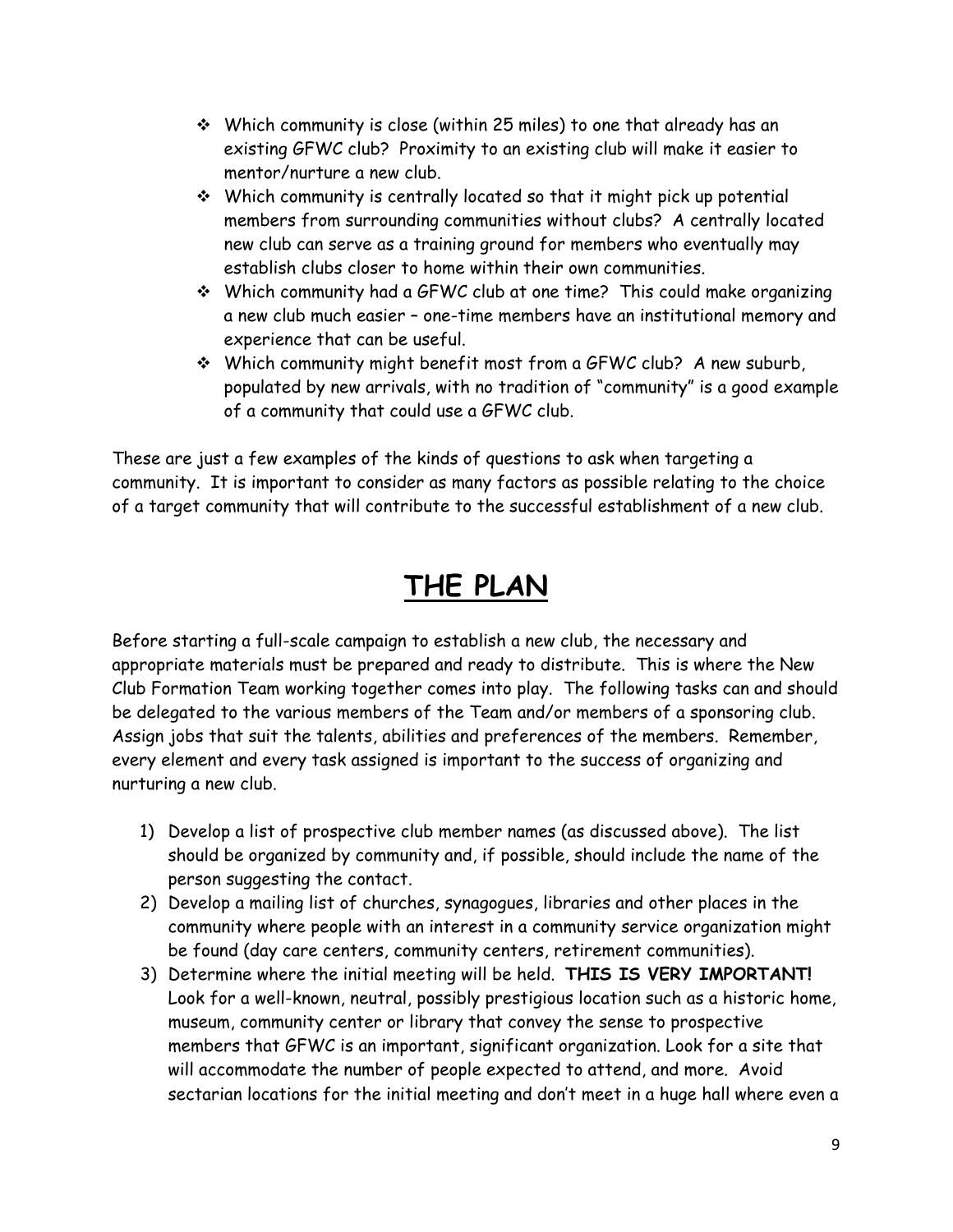- Which community is close (within 25 miles) to one that already has an existing GFWC club? Proximity to an existing club will make it easier to mentor/nurture a new club.
- Which community is centrally located so that it might pick up potential members from surrounding communities without clubs? A centrally located new club can serve as a training ground for members who eventually may establish clubs closer to home within their own communities.
- Which community had a GFWC club at one time? This could make organizing a new club much easier – one-time members have an institutional memory and experience that can be useful.
- $\div$  Which community might benefit most from a GFWC club? A new suburb, populated by new arrivals, with no tradition of "community" is a good example of a community that could use a GFWC club.

These are just a few examples of the kinds of questions to ask when targeting a community. It is important to consider as many factors as possible relating to the choice of a target community that will contribute to the successful establishment of a new club.

## **THE PLAN**

Before starting a full-scale campaign to establish a new club, the necessary and appropriate materials must be prepared and ready to distribute. This is where the New Club Formation Team working together comes into play. The following tasks can and should be delegated to the various members of the Team and/or members of a sponsoring club. Assign jobs that suit the talents, abilities and preferences of the members. Remember, every element and every task assigned is important to the success of organizing and nurturing a new club.

- 1) Develop a list of prospective club member names (as discussed above). The list should be organized by community and, if possible, should include the name of the person suggesting the contact.
- 2) Develop a mailing list of churches, synagogues, libraries and other places in the community where people with an interest in a community service organization might be found (day care centers, community centers, retirement communities).
- 3) Determine where the initial meeting will be held. **THIS IS VERY IMPORTANT!** Look for a well-known, neutral, possibly prestigious location such as a historic home, museum, community center or library that convey the sense to prospective members that GFWC is an important, significant organization. Look for a site that will accommodate the number of people expected to attend, and more. Avoid sectarian locations for the initial meeting and don't meet in a huge hall where even a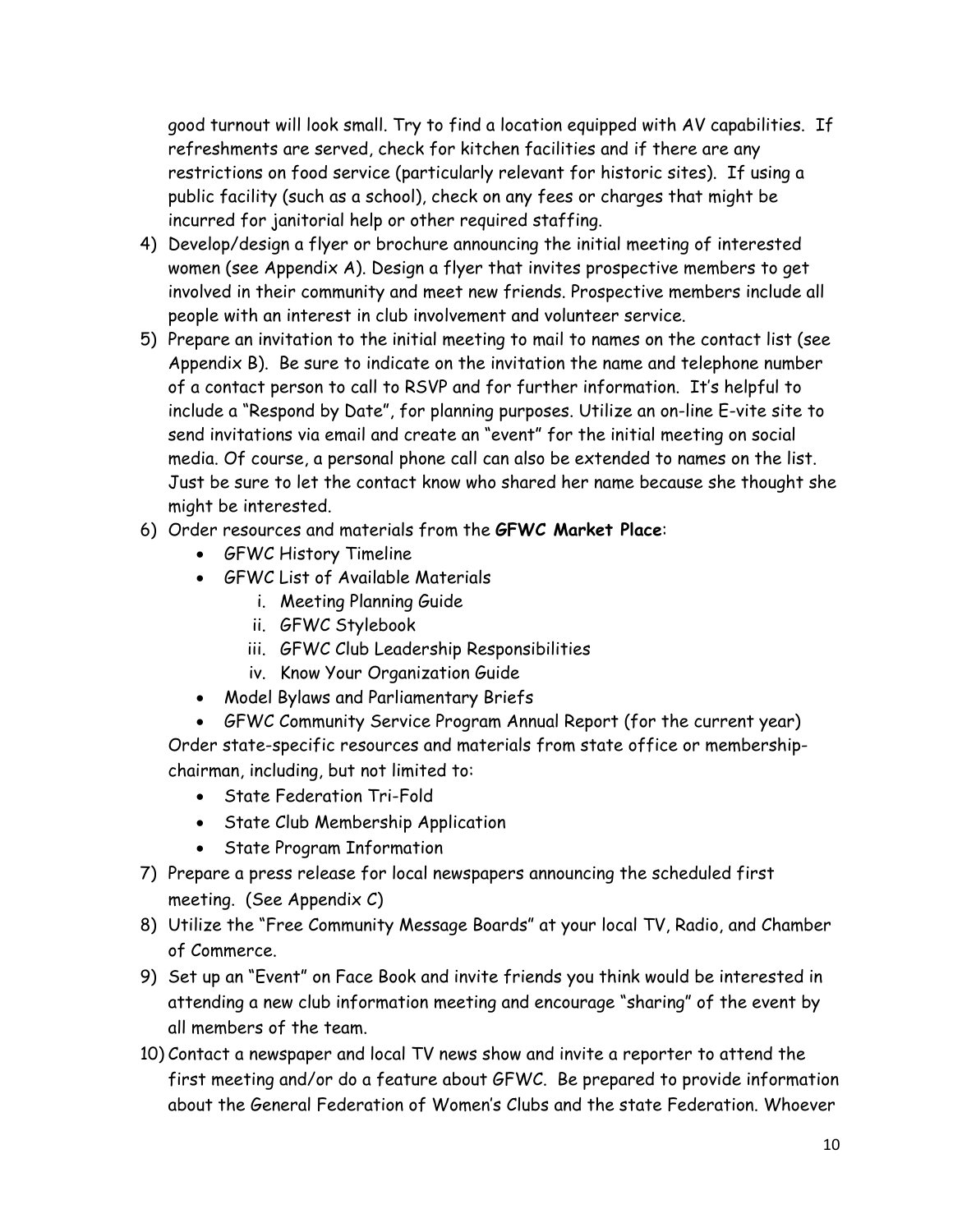good turnout will look small. Try to find a location equipped with AV capabilities. If refreshments are served, check for kitchen facilities and if there are any restrictions on food service (particularly relevant for historic sites). If using a public facility (such as a school), check on any fees or charges that might be incurred for janitorial help or other required staffing.

- 4) Develop/design a flyer or brochure announcing the initial meeting of interested women (see Appendix A). Design a flyer that invites prospective members to get involved in their community and meet new friends. Prospective members include all people with an interest in club involvement and volunteer service.
- 5) Prepare an invitation to the initial meeting to mail to names on the contact list (see Appendix B). Be sure to indicate on the invitation the name and telephone number of a contact person to call to RSVP and for further information. It's helpful to include a "Respond by Date", for planning purposes. Utilize an on-line E-vite site to send invitations via email and create an "event" for the initial meeting on social media. Of course, a personal phone call can also be extended to names on the list. Just be sure to let the contact know who shared her name because she thought she might be interested.
- 6) Order resources and materials from the **GFWC Market Place**:
	- GFWC History Timeline
	- GFWC List of Available Materials
		- i. Meeting Planning Guide
		- ii. GFWC Stylebook
		- iii. GFWC Club Leadership Responsibilities
		- iv. Know Your Organization Guide
	- Model Bylaws and Parliamentary Briefs
	- GFWC Community Service Program Annual Report (for the current year) Order state-specific resources and materials from state office or membershipchairman, including, but not limited to:
		- State Federation Tri-Fold
		- State Club Membership Application
		- State Program Information
- 7) Prepare a press release for local newspapers announcing the scheduled first meeting. (See Appendix C)
- 8) Utilize the "Free Community Message Boards" at your local TV, Radio, and Chamber of Commerce.
- 9) Set up an "Event" on Face Book and invite friends you think would be interested in attending a new club information meeting and encourage "sharing" of the event by all members of the team.
- 10) Contact a newspaper and local TV news show and invite a reporter to attend the first meeting and/or do a feature about GFWC. Be prepared to provide information about the General Federation of Women's Clubs and the state Federation. Whoever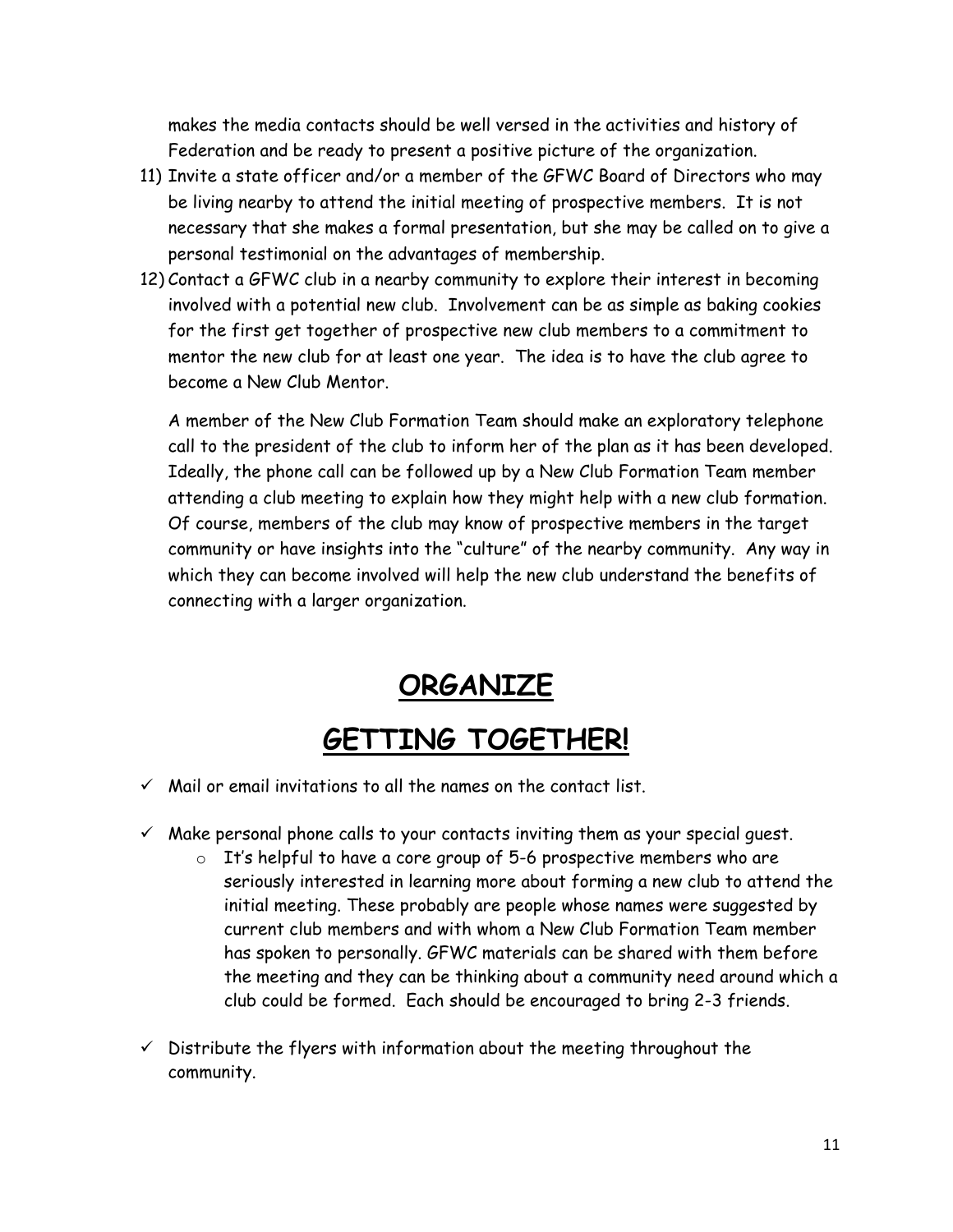makes the media contacts should be well versed in the activities and history of Federation and be ready to present a positive picture of the organization.

- 11) Invite a state officer and/or a member of the GFWC Board of Directors who may be living nearby to attend the initial meeting of prospective members. It is not necessary that she makes a formal presentation, but she may be called on to give a personal testimonial on the advantages of membership.
- 12) Contact a GFWC club in a nearby community to explore their interest in becoming involved with a potential new club. Involvement can be as simple as baking cookies for the first get together of prospective new club members to a commitment to mentor the new club for at least one year. The idea is to have the club agree to become a New Club Mentor.

A member of the New Club Formation Team should make an exploratory telephone call to the president of the club to inform her of the plan as it has been developed. Ideally, the phone call can be followed up by a New Club Formation Team member attending a club meeting to explain how they might help with a new club formation. Of course, members of the club may know of prospective members in the target community or have insights into the "culture" of the nearby community. Any way in which they can become involved will help the new club understand the benefits of connecting with a larger organization.

**ORGANIZE**

## **GETTING TOGETHER!**

- $\checkmark$  Mail or email invitations to all the names on the contact list.
- $\checkmark$  Make personal phone calls to your contacts inviting them as your special guest.
	- $\circ$  It's helpful to have a core group of 5-6 prospective members who are seriously interested in learning more about forming a new club to attend the initial meeting. These probably are people whose names were suggested by current club members and with whom a New Club Formation Team member has spoken to personally. GFWC materials can be shared with them before the meeting and they can be thinking about a community need around which a club could be formed. Each should be encouraged to bring 2-3 friends.
- $\checkmark$  Distribute the flyers with information about the meeting throughout the community.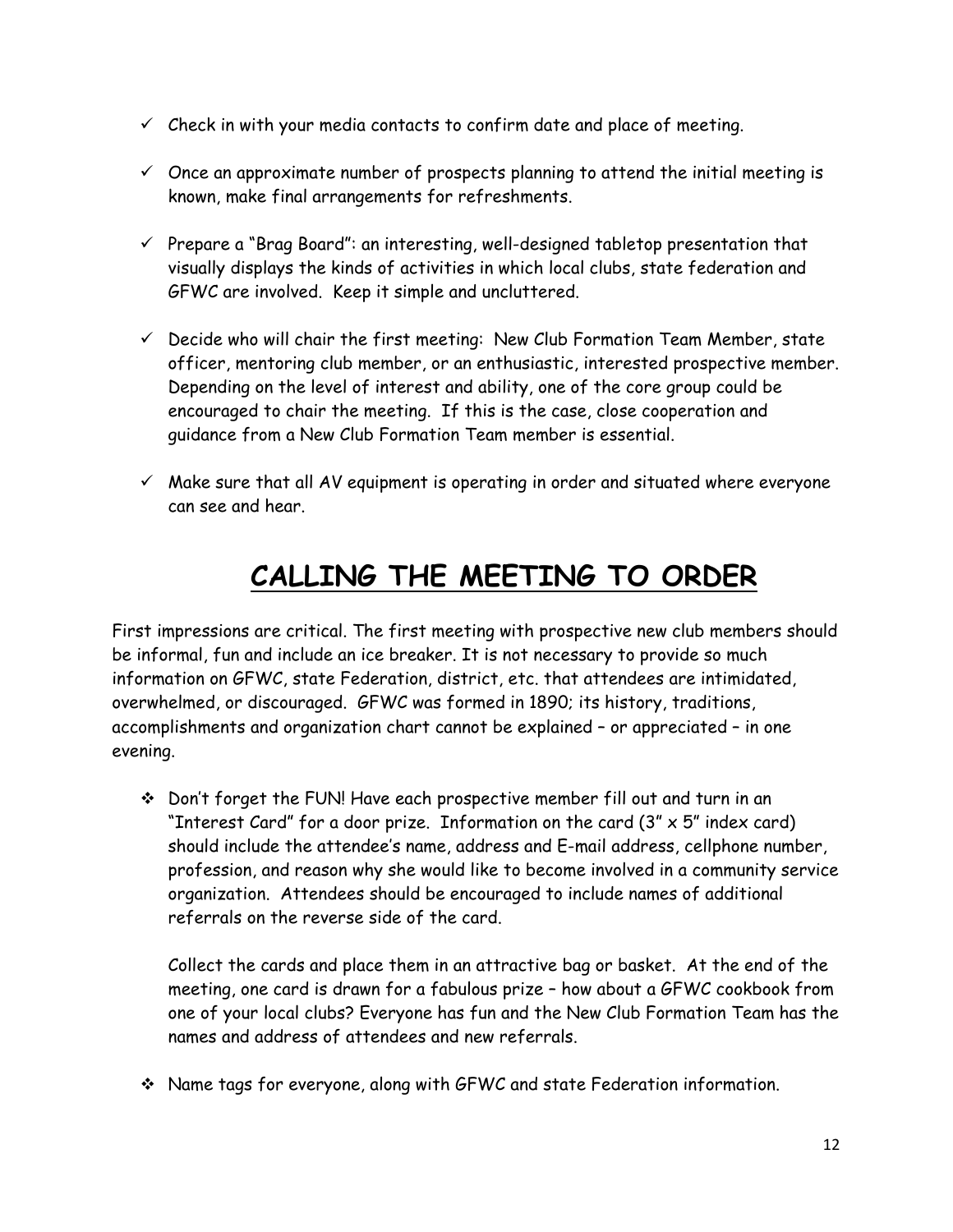- $\checkmark$  Check in with your media contacts to confirm date and place of meeting.
- $\checkmark$  Once an approximate number of prospects planning to attend the initial meeting is known, make final arrangements for refreshments.
- $\checkmark$  Prepare a "Brag Board": an interesting, well-designed tabletop presentation that visually displays the kinds of activities in which local clubs, state federation and GFWC are involved. Keep it simple and uncluttered.
- $\checkmark$  Decide who will chair the first meeting: New Club Formation Team Member, state officer, mentoring club member, or an enthusiastic, interested prospective member. Depending on the level of interest and ability, one of the core group could be encouraged to chair the meeting. If this is the case, close cooperation and guidance from a New Club Formation Team member is essential.
- $\checkmark$  Make sure that all AV equipment is operating in order and situated where everyone can see and hear.

## **CALLING THE MEETING TO ORDER**

First impressions are critical. The first meeting with prospective new club members should be informal, fun and include an ice breaker. It is not necessary to provide so much information on GFWC, state Federation, district, etc. that attendees are intimidated, overwhelmed, or discouraged. GFWC was formed in 1890; its history, traditions, accomplishments and organization chart cannot be explained – or appreciated – in one evening.

 Don't forget the FUN! Have each prospective member fill out and turn in an "Interest Card" for a door prize. Information on the card  $(3'' \times 5''$  index card) should include the attendee's name, address and E-mail address, cellphone number, profession, and reason why she would like to become involved in a community service organization. Attendees should be encouraged to include names of additional referrals on the reverse side of the card.

Collect the cards and place them in an attractive bag or basket. At the end of the meeting, one card is drawn for a fabulous prize – how about a GFWC cookbook from one of your local clubs? Everyone has fun and the New Club Formation Team has the names and address of attendees and new referrals.

Name tags for everyone, along with GFWC and state Federation information.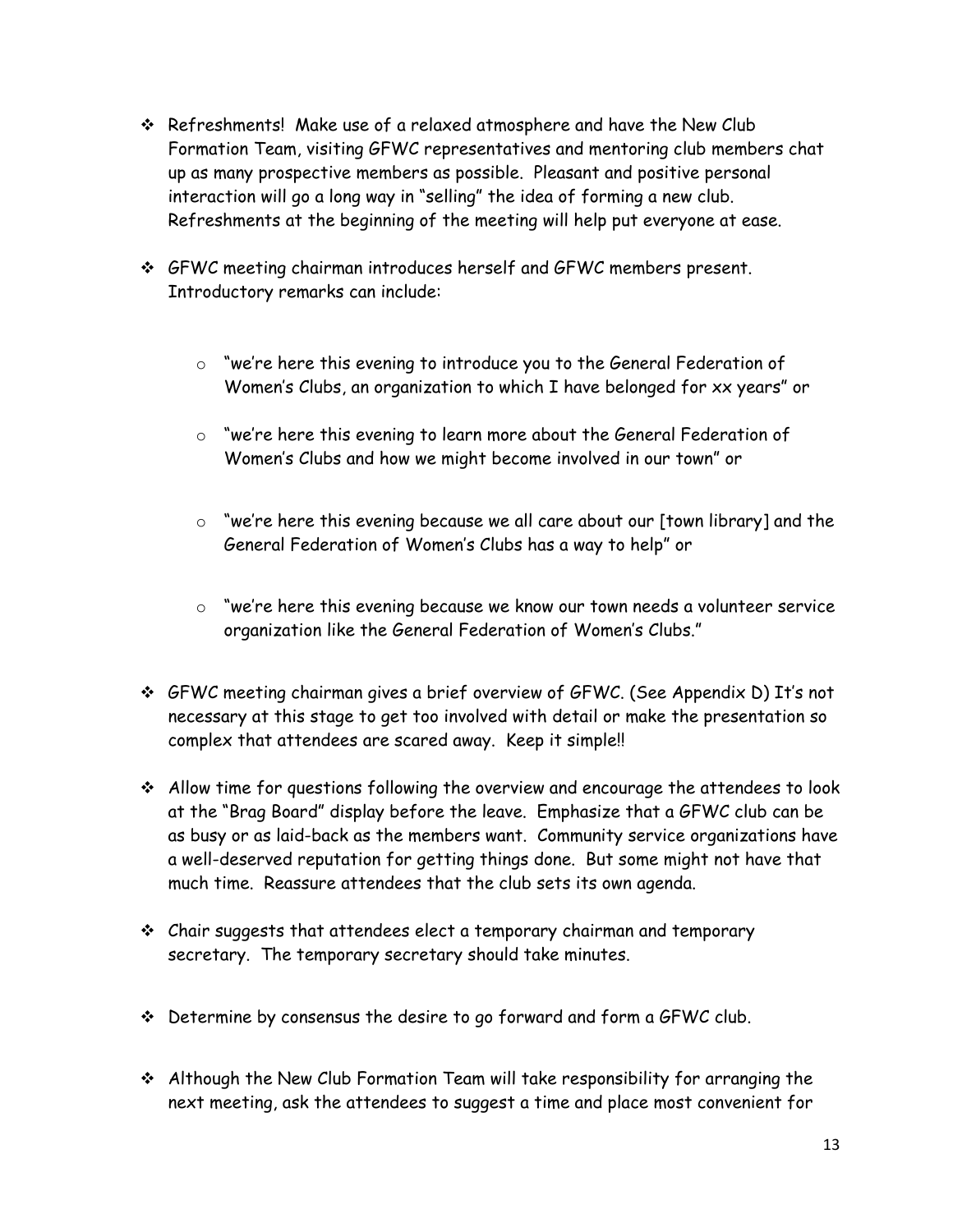- Refreshments! Make use of a relaxed atmosphere and have the New Club Formation Team, visiting GFWC representatives and mentoring club members chat up as many prospective members as possible. Pleasant and positive personal interaction will go a long way in "selling" the idea of forming a new club. Refreshments at the beginning of the meeting will help put everyone at ease.
- GFWC meeting chairman introduces herself and GFWC members present. Introductory remarks can include:
	- o "we're here this evening to introduce you to the General Federation of Women's Clubs, an organization to which I have belonged for xx years" or
	- o "we're here this evening to learn more about the General Federation of Women's Clubs and how we might become involved in our town" or
	- o "we're here this evening because we all care about our [town library] and the General Federation of Women's Clubs has a way to help" or
	- o "we're here this evening because we know our town needs a volunteer service organization like the General Federation of Women's Clubs."
- GFWC meeting chairman gives a brief overview of GFWC. (See Appendix D) It's not necessary at this stage to get too involved with detail or make the presentation so complex that attendees are scared away. Keep it simple!!
- Allow time for questions following the overview and encourage the attendees to look at the "Brag Board" display before the leave. Emphasize that a GFWC club can be as busy or as laid-back as the members want. Community service organizations have a well-deserved reputation for getting things done. But some might not have that much time. Reassure attendees that the club sets its own agenda.
- Chair suggests that attendees elect a temporary chairman and temporary secretary. The temporary secretary should take minutes.
- Determine by consensus the desire to go forward and form a GFWC club.
- Although the New Club Formation Team will take responsibility for arranging the next meeting, ask the attendees to suggest a time and place most convenient for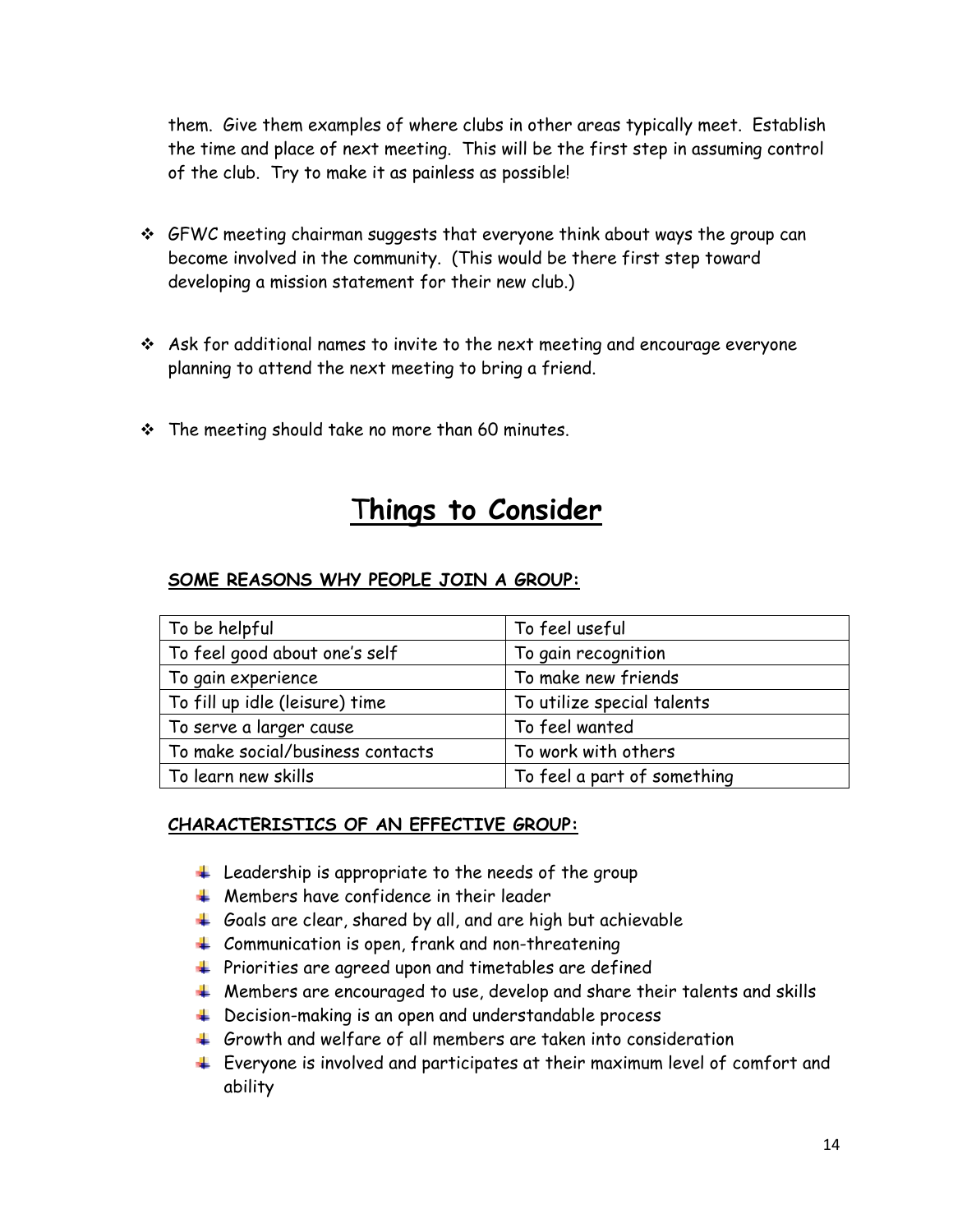them. Give them examples of where clubs in other areas typically meet. Establish the time and place of next meeting. This will be the first step in assuming control of the club. Try to make it as painless as possible!

- $\div$  GFWC meeting chairman suggests that everyone think about ways the group can become involved in the community. (This would be there first step toward developing a mission statement for their new club.)
- $\cdot$  Ask for additional names to invite to the next meeting and encourage everyone planning to attend the next meeting to bring a friend.
- \* The meeting should take no more than 60 minutes.

#### T**hings to Consider**

#### **SOME REASONS WHY PEOPLE JOIN A GROUP:**

| To be helpful                    | To feel useful              |
|----------------------------------|-----------------------------|
| To feel good about one's self    | To gain recognition         |
| To gain experience               | To make new friends         |
| To fill up idle (leisure) time   | To utilize special talents  |
| To serve a larger cause          | To feel wanted              |
| To make social/business contacts | To work with others         |
| To learn new skills              | To feel a part of something |

#### **CHARACTERISTICS OF AN EFFECTIVE GROUP:**

- $\ddot{+}$  Leadership is appropriate to the needs of the group
- $\frac{1}{\sqrt{1}}$  Members have confidence in their leader
- $\pm$  Goals are clear, shared by all, and are high but achievable
- $\downarrow$  Communication is open, frank and non-threatening
- $\ddot{\phantom{1}}$  Priorities are agreed upon and timetables are defined
- $\ddotplus$  Members are encouraged to use, develop and share their talents and skills
- **↓** Decision-making is an open and understandable process
- $\pm$  Growth and welfare of all members are taken into consideration
- Everyone is involved and participates at their maximum level of comfort and ability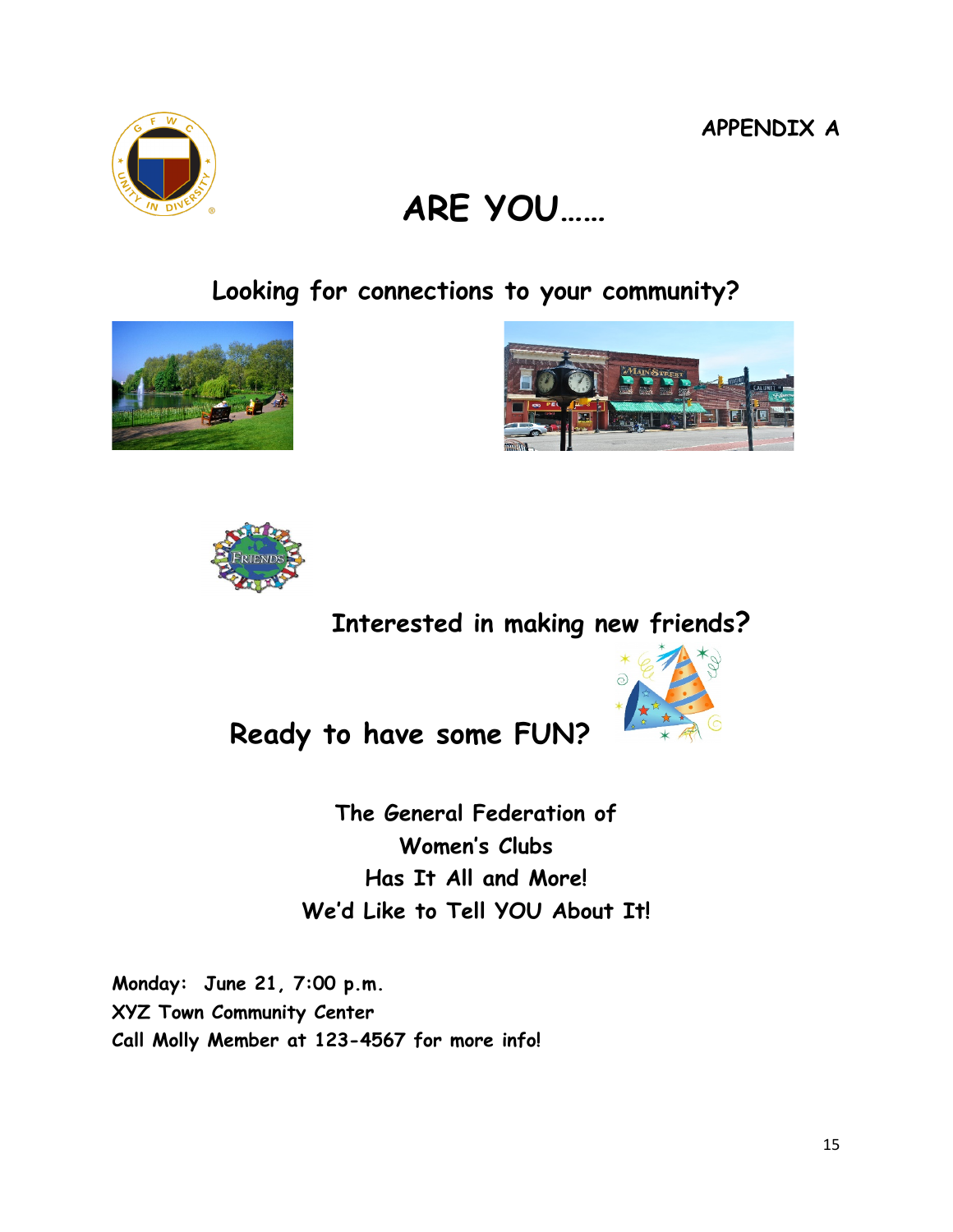**APPENDIX A**

# **ARE YOU……**

**Looking for connections to your community?**



**Interested in making new friends?** 

**Ready to have some FUN?** 

**The General Federation of Women's Clubs Has It All and More! We'd Like to Tell YOU About It!**

**Monday: June 21, 7:00 p.m. XYZ Town Community Center Call Molly Member at 123-4567 for more info!**







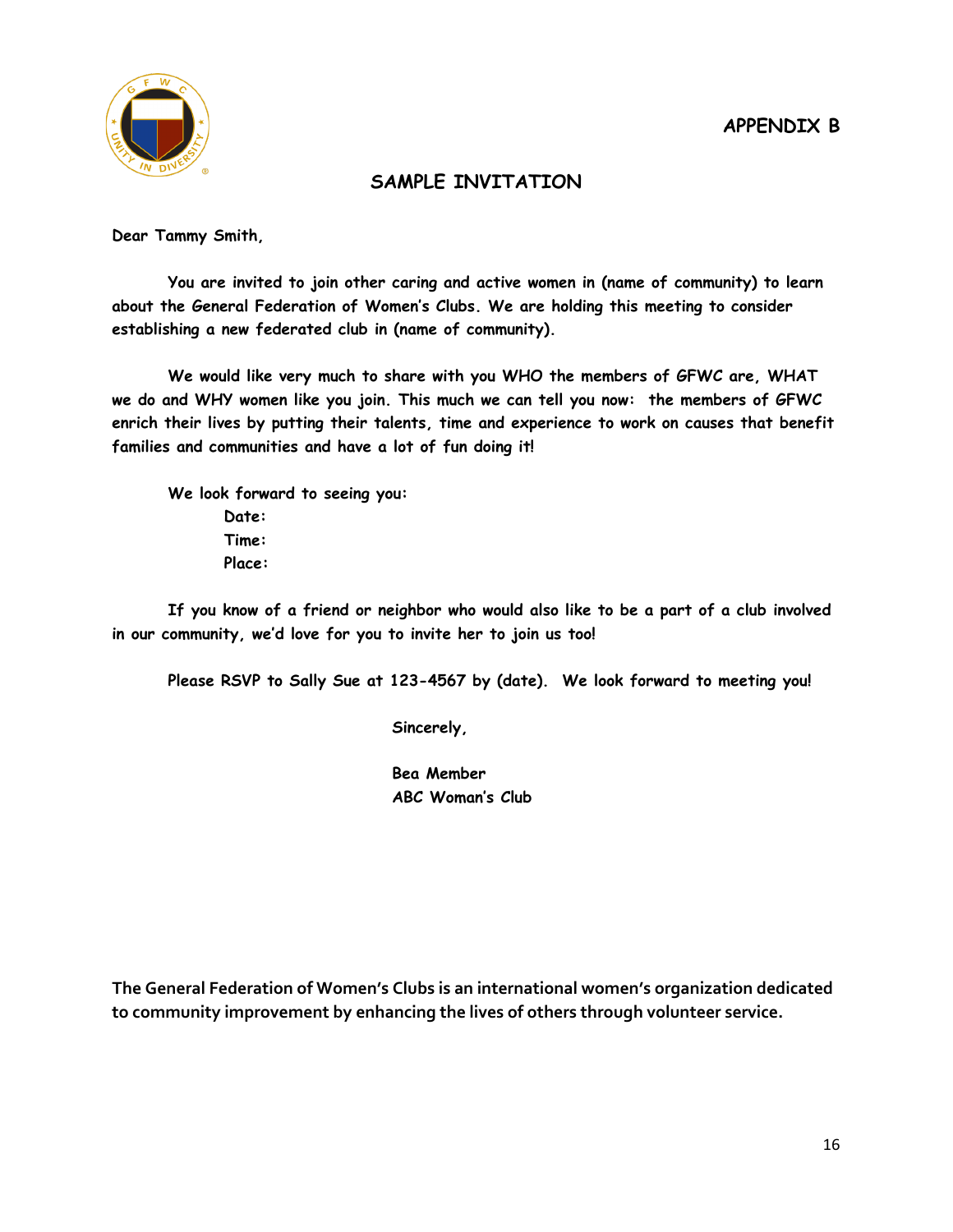

#### **SAMPLE INVITATION**

**Dear Tammy Smith,**

**You are invited to join other caring and active women in (name of community) to learn about the General Federation of Women's Clubs. We are holding this meeting to consider establishing a new federated club in (name of community).**

**We would like very much to share with you WHO the members of GFWC are, WHAT we do and WHY women like you join. This much we can tell you now: the members of GFWC enrich their lives by putting their talents, time and experience to work on causes that benefit families and communities and have a lot of fun doing it!**

**We look forward to seeing you:**

**Date: Time: Place:**

**If you know of a friend or neighbor who would also like to be a part of a club involved in our community, we'd love for you to invite her to join us too!**

**Please RSVP to Sally Sue at 123-4567 by (date). We look forward to meeting you!**

**Sincerely,**

**Bea Member ABC Woman's Club**

**The General Federation of Women's Clubs is an international women's organization dedicated to community improvement by enhancing the lives of others through volunteer service.**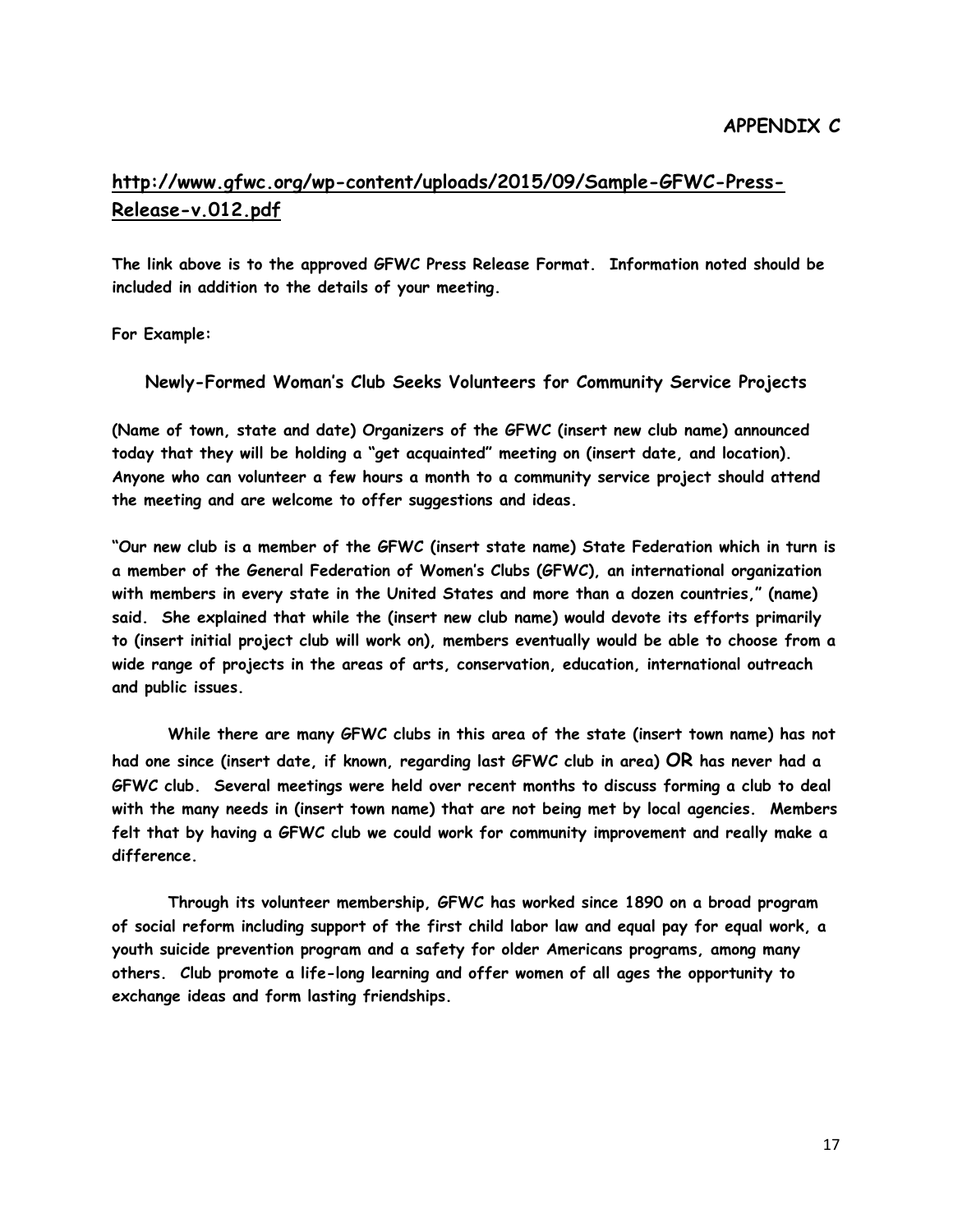#### **http://www.gfwc.org/wp-[content/uploads/2015/09/Sample](http://www.gfwc.org/wp-content/uploads/2015/09/Sample-GFWC-Press-Release-v.012.pdf)-GFWC-Press-Release-[v.012.pdf](http://www.gfwc.org/wp-content/uploads/2015/09/Sample-GFWC-Press-Release-v.012.pdf)**

**The link above is to the approved GFWC Press Release Format. Information noted should be included in addition to the details of your meeting.**

**For Example:**

**Newly-Formed Woman's Club Seeks Volunteers for Community Service Projects**

**(Name of town, state and date) Organizers of the GFWC (insert new club name) announced today that they will be holding a "get acquainted" meeting on (insert date, and location). Anyone who can volunteer a few hours a month to a community service project should attend the meeting and are welcome to offer suggestions and ideas.**

**"Our new club is a member of the GFWC (insert state name) State Federation which in turn is a member of the General Federation of Women's Clubs (GFWC), an international organization with members in every state in the United States and more than a dozen countries," (name) said. She explained that while the (insert new club name) would devote its efforts primarily to (insert initial project club will work on), members eventually would be able to choose from a wide range of projects in the areas of arts, conservation, education, international outreach and public issues.**

**While there are many GFWC clubs in this area of the state (insert town name) has not had one since (insert date, if known, regarding last GFWC club in area) OR has never had a GFWC club. Several meetings were held over recent months to discuss forming a club to deal with the many needs in (insert town name) that are not being met by local agencies. Members felt that by having a GFWC club we could work for community improvement and really make a difference.**

**Through its volunteer membership, GFWC has worked since 1890 on a broad program of social reform including support of the first child labor law and equal pay for equal work, a youth suicide prevention program and a safety for older Americans programs, among many others. Club promote a life-long learning and offer women of all ages the opportunity to exchange ideas and form lasting friendships.**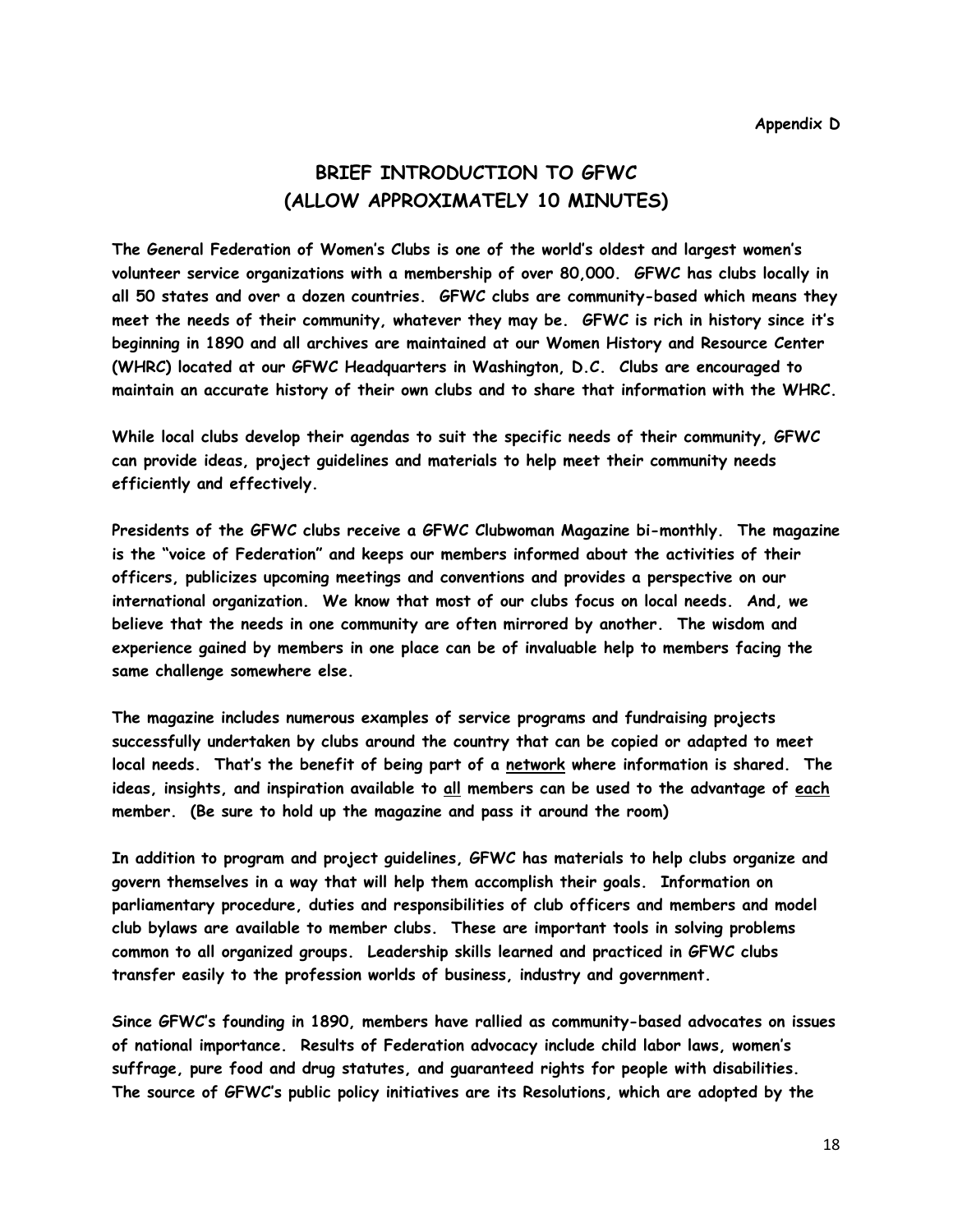#### **BRIEF INTRODUCTION TO GFWC (ALLOW APPROXIMATELY 10 MINUTES)**

**The General Federation of Women's Clubs is one of the world's oldest and largest women's volunteer service organizations with a membership of over 80,000. GFWC has clubs locally in all 50 states and over a dozen countries. GFWC clubs are community-based which means they meet the needs of their community, whatever they may be. GFWC is rich in history since it's beginning in 1890 and all archives are maintained at our Women History and Resource Center (WHRC) located at our GFWC Headquarters in Washington, D.C. Clubs are encouraged to maintain an accurate history of their own clubs and to share that information with the WHRC.**

**While local clubs develop their agendas to suit the specific needs of their community, GFWC can provide ideas, project guidelines and materials to help meet their community needs efficiently and effectively.**

**Presidents of the GFWC clubs receive a GFWC Clubwoman Magazine bi-monthly. The magazine is the "voice of Federation" and keeps our members informed about the activities of their officers, publicizes upcoming meetings and conventions and provides a perspective on our international organization. We know that most of our clubs focus on local needs. And, we believe that the needs in one community are often mirrored by another. The wisdom and experience gained by members in one place can be of invaluable help to members facing the same challenge somewhere else.** 

**The magazine includes numerous examples of service programs and fundraising projects successfully undertaken by clubs around the country that can be copied or adapted to meet local needs. That's the benefit of being part of a network where information is shared. The ideas, insights, and inspiration available to all members can be used to the advantage of each member. (Be sure to hold up the magazine and pass it around the room)**

**In addition to program and project guidelines, GFWC has materials to help clubs organize and govern themselves in a way that will help them accomplish their goals. Information on parliamentary procedure, duties and responsibilities of club officers and members and model club bylaws are available to member clubs. These are important tools in solving problems common to all organized groups. Leadership skills learned and practiced in GFWC clubs transfer easily to the profession worlds of business, industry and government.**

**Since GFWC's founding in 1890, members have rallied as community-based advocates on issues of national importance. Results of Federation advocacy include child labor laws, women's suffrage, pure food and drug statutes, and guaranteed rights for people with disabilities. The source of GFWC's public policy initiatives are its Resolutions, which are adopted by the**